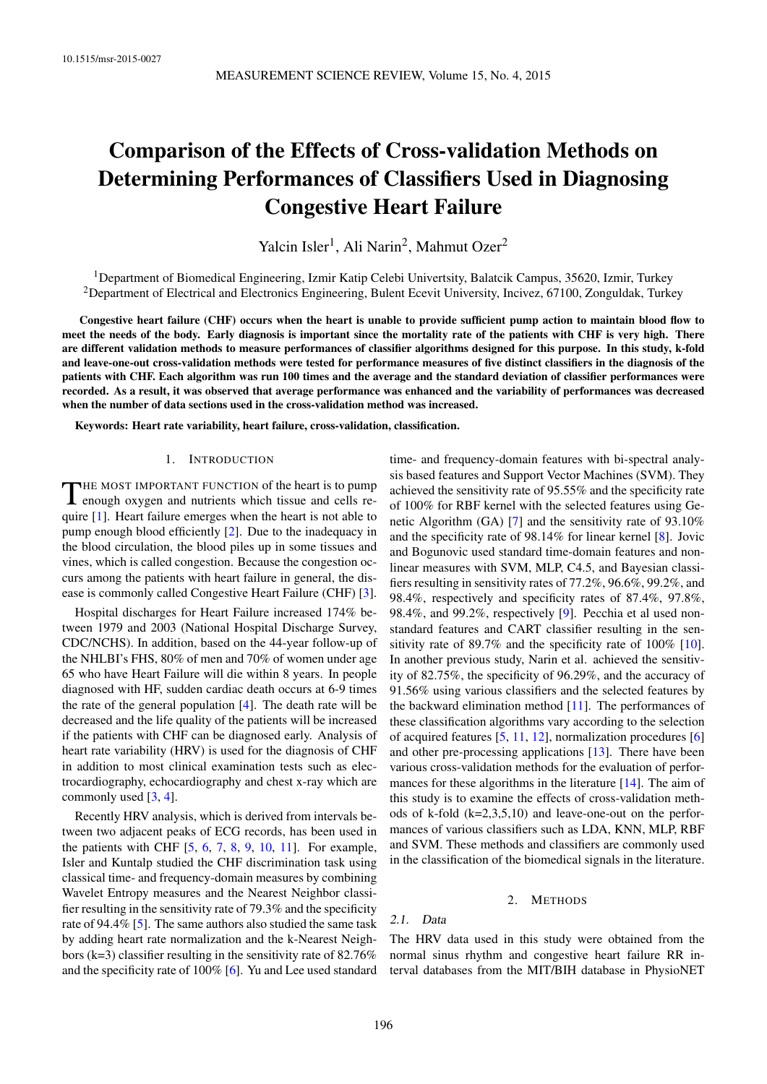# Comparison of the Effects of Cross-validation Methods on Determining Performances of Classifiers Used in Diagnosing Congestive Heart Failure

Yalcin Isler<sup>1</sup>, Ali Narin<sup>2</sup>, Mahmut Ozer<sup>2</sup>

<sup>1</sup>Department of Biomedical Engineering, Izmir Katip Celebi Univertsity, Balatcik Campus, 35620, Izmir, Turkey <sup>2</sup>Department of Electrical and Electronics Engineering, Bulent Ecevit University, Incivez, 67100, Zonguldak, Turkey

Congestive heart failure (CHF) occurs when the heart is unable to provide sufficient pump action to maintain blood flow to meet the needs of the body. Early diagnosis is important since the mortality rate of the patients with CHF is very high. There are different validation methods to measure performances of classifier algorithms designed for this purpose. In this study, k-fold and leave-one-out cross-validation methods were tested for performance measures of five distinct classifiers in the diagnosis of the patients with CHF. Each algorithm was run 100 times and the average and the standard deviation of classifier performances were recorded. As a result, it was observed that average performance was enhanced and the variability of performances was decreased when the number of data sections used in the cross-validation method was increased.

Keywords: Heart rate variability, heart failure, cross-validation, classification.

### 1. INTRODUCTION

THE MOST IMPORTANT FUNCTION of the heart is to pump<br>enough oxygen and nutrients which tissue and cells reenough oxygen and nutrients which tissue and cells require [1]. Heart failure emerges when the heart is not able to pump enough blood efficiently [2]. Due to the inadequacy in the blood circulation, the blood piles up in some tissues and vines, which is called congestion. Because the congestion occurs among the patients with heart failure in general, the disease is commonly called Congestive Heart Failure (CHF) [3].

Hospital discharges for Heart Failure increased 174% between 1979 and 2003 (National Hospital Discharge Survey, CDC/NCHS). In addition, based on the 44-year follow-up of the NHLBI's FHS, 80% of men and 70% of women under age 65 who have Heart Failure will die within 8 years. In people diagnosed with HF, sudden cardiac death occurs at 6-9 times the rate of the general population [4]. The death rate will be decreased and the life quality of the patients will be increased if the patients with CHF can be diagnosed early. Analysis of heart rate variability (HRV) is used for the diagnosis of CHF in addition to most clinical examination tests such as electrocardiography, echocardiography and chest x-ray which are commonly used [3, 4].

Recently HRV analysis, which is derived from intervals between two adjacent peaks of ECG records, has been used in the patients with CHF  $[5, 6, 7, 8, 9, 10, 11]$ . For example, Isler and Kuntalp studied the CHF discrimination task using classical time- and frequency-domain measures by combining Wavelet Entropy measures and the Nearest Neighbor classifier resulting in the sensitivity rate of 79.3% and the specificity rate of 94.4% [5]. The same authors also studied the same task by adding heart rate normalization and the k-Nearest Neighbors (k=3) classifier resulting in the sensitivity rate of 82.76% and the specificity rate of 100% [6]. Yu and Lee used standard time- and frequency-domain features with bi-spectral analysis based features and Support Vector Machines (SVM). They achieved the sensitivity rate of 95.55% and the specificity rate of 100% for RBF kernel with the selected features using Genetic Algorithm (GA) [7] and the sensitivity rate of 93.10% and the specificity rate of 98.14% for linear kernel [8]. Jovic and Bogunovic used standard time-domain features and nonlinear measures with SVM, MLP, C4.5, and Bayesian classifiers resulting in sensitivity rates of 77.2%, 96.6%, 99.2%, and 98.4%, respectively and specificity rates of 87.4%, 97.8%, 98.4%, and 99.2%, respectively [9]. Pecchia et al used nonstandard features and CART classifier resulting in the sensitivity rate of 89.7% and the specificity rate of 100% [10]. In another previous study, Narin et al. achieved the sensitivity of 82.75%, the specificity of 96.29%, and the accuracy of 91.56% using various classifiers and the selected features by the backward elimination method [11]. The performances of these classification algorithms vary according to the selection of acquired features [5, 11, 12], normalization procedures [6] and other pre-processing applications [13]. There have been various cross-validation methods for the evaluation of performances for these algorithms in the literature [14]. The aim of this study is to examine the effects of cross-validation methods of k-fold (k=2,3,5,10) and leave-one-out on the performances of various classifiers such as LDA, KNN, MLP, RBF and SVM. These methods and classifiers are commonly used in the classification of the biomedical signals in the literature.

### 2. METHODS

2.1. Data

The HRV data used in this study were obtained from the normal sinus rhythm and congestive heart failure RR interval databases from the MIT/BIH database in PhysioNET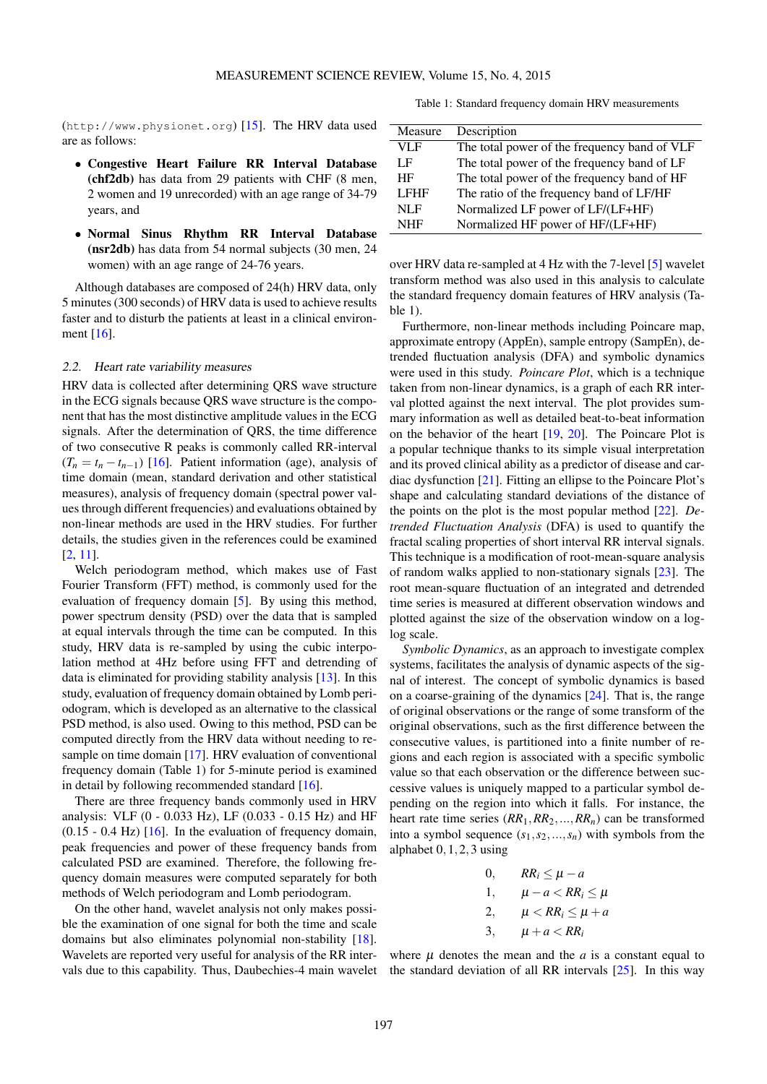(http://www.physionet.org) [15]. The HRV data used are as follows:

- *•* Congestive Heart Failure RR Interval Database (chf2db) has data from 29 patients with CHF (8 men, 2 women and 19 unrecorded) with an age range of 34-79 years, and
- *•* Normal Sinus Rhythm RR Interval Database (nsr2db) has data from 54 normal subjects (30 men, 24 women) with an age range of 24-76 years.

Although databases are composed of 24(h) HRV data, only 5 minutes (300 seconds) of HRV data is used to achieve results faster and to disturb the patients at least in a clinical environment [16].

## 2.2. Heart rate variability measures

HRV data is collected after determining QRS wave structure in the ECG signals because QRS wave structure is the component that has the most distinctive amplitude values in the ECG signals. After the determination of QRS, the time difference of two consecutive R peaks is commonly called RR-interval  $(T_n = t_n - t_{n-1})$  [16]. Patient information (age), analysis of time domain (mean, standard derivation and other statistical measures), analysis of frequency domain (spectral power values through different frequencies) and evaluations obtained by non-linear methods are used in the HRV studies. For further details, the studies given in the references could be examined [2, 11].

Welch periodogram method, which makes use of Fast Fourier Transform (FFT) method, is commonly used for the evaluation of frequency domain [5]. By using this method, power spectrum density (PSD) over the data that is sampled at equal intervals through the time can be computed. In this study, HRV data is re-sampled by using the cubic interpolation method at 4Hz before using FFT and detrending of data is eliminated for providing stability analysis [13]. In this study, evaluation of frequency domain obtained by Lomb periodogram, which is developed as an alternative to the classical PSD method, is also used. Owing to this method, PSD can be computed directly from the HRV data without needing to resample on time domain [17]. HRV evaluation of conventional frequency domain (Table 1) for 5-minute period is examined in detail by following recommended standard [16].

There are three frequency bands commonly used in HRV analysis: VLF (0 - 0.033 Hz), LF (0.033 - 0.15 Hz) and HF  $(0.15 - 0.4 \text{ Hz})$  [16]. In the evaluation of frequency domain, peak frequencies and power of these frequency bands from calculated PSD are examined. Therefore, the following frequency domain measures were computed separately for both methods of Welch periodogram and Lomb periodogram.

On the other hand, wavelet analysis not only makes possible the examination of one signal for both the time and scale domains but also eliminates polynomial non-stability [18]. Wavelets are reported very useful for analysis of the RR intervals due to this capability. Thus, Daubechies-4 main wavelet

Table 1: Standard frequency domain HRV measurements

| Measure     | Description                                  |
|-------------|----------------------------------------------|
| VLF         | The total power of the frequency band of VLF |
| LF          | The total power of the frequency band of LF  |
| HF          | The total power of the frequency band of HF  |
| <b>LFHF</b> | The ratio of the frequency band of LF/HF     |
| NLE         | Normalized LF power of LF/(LF+HF)            |
| <b>NHF</b>  | Normalized HF power of HF/(LF+HF)            |

over HRV data re-sampled at 4 Hz with the 7-level [5] wavelet transform method was also used in this analysis to calculate the standard frequency domain features of HRV analysis (Ta $h \leq 1$ .

Furthermore, non-linear methods including Poincare map, approximate entropy (AppEn), sample entropy (SampEn), detrended fluctuation analysis (DFA) and symbolic dynamics were used in this study. *Poincare Plot*, which is a technique taken from non-linear dynamics, is a graph of each RR interval plotted against the next interval. The plot provides summary information as well as detailed beat-to-beat information on the behavior of the heart [19, 20]. The Poincare Plot is a popular technique thanks to its simple visual interpretation and its proved clinical ability as a predictor of disease and cardiac dysfunction [21]. Fitting an ellipse to the Poincare Plot's shape and calculating standard deviations of the distance of the points on the plot is the most popular method [22]. *Detrended Fluctuation Analysis* (DFA) is used to quantify the fractal scaling properties of short interval RR interval signals. This technique is a modification of root-mean-square analysis of random walks applied to non-stationary signals [23]. The root mean-square fluctuation of an integrated and detrended time series is measured at different observation windows and plotted against the size of the observation window on a loglog scale.

*Symbolic Dynamics*, as an approach to investigate complex systems, facilitates the analysis of dynamic aspects of the signal of interest. The concept of symbolic dynamics is based on a coarse-graining of the dynamics [24]. That is, the range of original observations or the range of some transform of the original observations, such as the first difference between the consecutive values, is partitioned into a finite number of regions and each region is associated with a specific symbolic value so that each observation or the difference between successive values is uniquely mapped to a particular symbol depending on the region into which it falls. For instance, the heart rate time series (*RR*1*,RR*2*,...,RRn*) can be transformed into a symbol sequence  $(s_1, s_2, \ldots, s_n)$  with symbols from the alphabet 0*,*1*,*2*,*3 using

\n
$$
\begin{aligned}\n &0, & RR_i \leq \mu - a \\
&1, & \mu - a < RR_i \leq \mu \\
&2, & \mu < RR_i \leq \mu + a \\
&3, & \mu + a < RR_i\n \end{aligned}
$$
\n

where  $\mu$  denotes the mean and the  $a$  is a constant equal to the standard deviation of all RR intervals  $[25]$ . In this way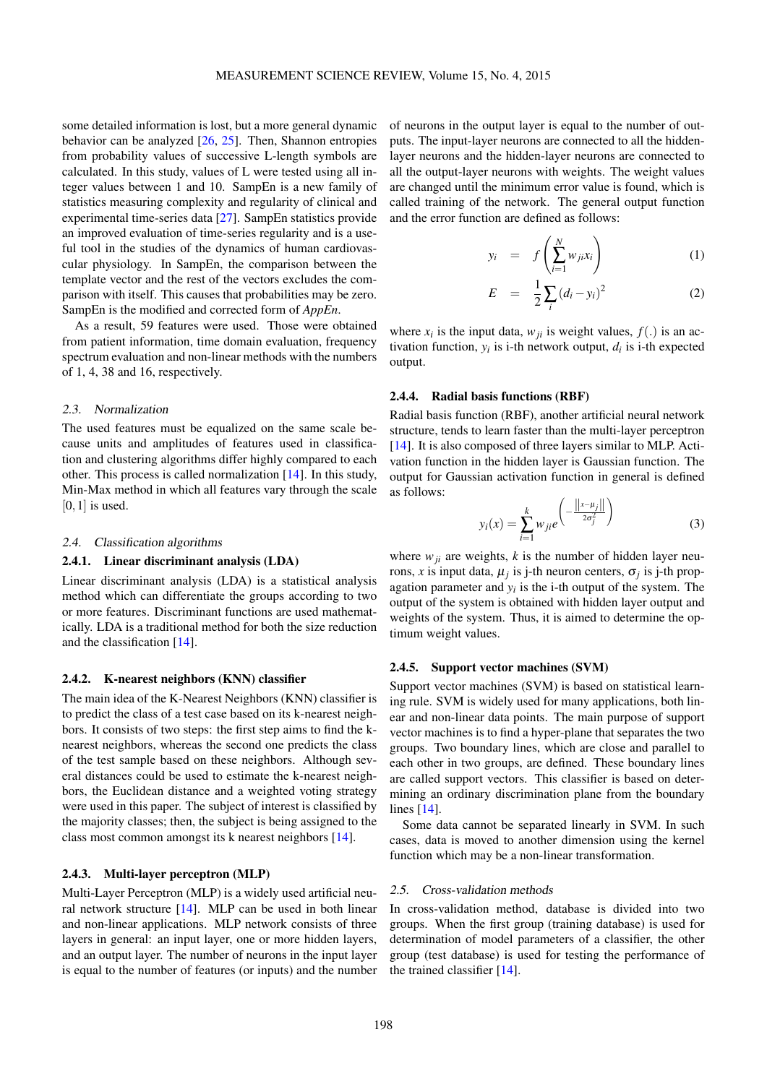some detailed information is lost, but a more general dynamic behavior can be analyzed  $[26, 25]$ . Then, Shannon entropies from probability values of successive L-length symbols are calculated. In this study, values of L were tested using all integer values between 1 and 10. SampEn is a new family of statistics measuring complexity and regularity of clinical and experimental time-series data [27]. SampEn statistics provide an improved evaluation of time-series regularity and is a useful tool in the studies of the dynamics of human cardiovascular physiology. In SampEn, the comparison between the template vector and the rest of the vectors excludes the comparison with itself. This causes that probabilities may be zero. SampEn is the modified and corrected form of *AppEn*.

As a result, 59 features were used. Those were obtained from patient information, time domain evaluation, frequency spectrum evaluation and non-linear methods with the numbers of 1, 4, 38 and 16, respectively.

## 2.3. Normalization

The used features must be equalized on the same scale because units and amplitudes of features used in classification and clustering algorithms differ highly compared to each other. This process is called normalization [14]. In this study, Min-Max method in which all features vary through the scale [0*,*1] is used.

## 2.4. Classification algorithms

# 2.4.1. Linear discriminant analysis (LDA)

Linear discriminant analysis (LDA) is a statistical analysis method which can differentiate the groups according to two or more features. Discriminant functions are used mathematically. LDA is a traditional method for both the size reduction and the classification [14].

## 2.4.2. K-nearest neighbors (KNN) classifier

The main idea of the K-Nearest Neighbors (KNN) classifier is to predict the class of a test case based on its k-nearest neighbors. It consists of two steps: the first step aims to find the knearest neighbors, whereas the second one predicts the class of the test sample based on these neighbors. Although several distances could be used to estimate the k-nearest neighbors, the Euclidean distance and a weighted voting strategy were used in this paper. The subject of interest is classified by the majority classes; then, the subject is being assigned to the class most common amongst its k nearest neighbors [14].

# 2.4.3. Multi-layer perceptron (MLP)

Multi-Layer Perceptron (MLP) is a widely used artificial neural network structure [14]. MLP can be used in both linear and non-linear applications. MLP network consists of three layers in general: an input layer, one or more hidden layers, and an output layer. The number of neurons in the input layer is equal to the number of features (or inputs) and the number

of neurons in the output layer is equal to the number of outputs. The input-layer neurons are connected to all the hiddenlayer neurons and the hidden-layer neurons are connected to all the output-layer neurons with weights. The weight values are changed until the minimum error value is found, which is called training of the network. The general output function and the error function are defined as follows:

$$
y_i = f\left(\sum_{i=1}^N w_{ji} x_i\right) \tag{1}
$$

$$
E = \frac{1}{2} \sum_{i} (d_i - y_i)^2
$$
 (2)

where  $x_i$  is the input data,  $w_{ji}$  is weight values,  $f(.)$  is an activation function,  $y_i$  is i-th network output,  $d_i$  is i-th expected output.

#### 2.4.4. Radial basis functions (RBF)

Radial basis function (RBF), another artificial neural network structure, tends to learn faster than the multi-layer perceptron [14]. It is also composed of three layers similar to MLP. Activation function in the hidden layer is Gaussian function. The output for Gaussian activation function in general is defined as follows:  $\overline{11}$ 

$$
y_i(x) = \sum_{i=1}^k w_{ji} e^{-\frac{||x - \mu_j||}{2\sigma_j^2}}
$$
 (3)

where  $w_{ji}$  are weights,  $k$  is the number of hidden layer neurons, *x* is input data,  $\mu_j$  is j-th neuron centers,  $\sigma_j$  is j-th propagation parameter and  $y_i$  is the i-th output of the system. The output of the system is obtained with hidden layer output and weights of the system. Thus, it is aimed to determine the optimum weight values.

## 2.4.5. Support vector machines (SVM)

Support vector machines (SVM) is based on statistical learning rule. SVM is widely used for many applications, both linear and non-linear data points. The main purpose of support vector machines is to find a hyper-plane that separates the two groups. Two boundary lines, which are close and parallel to each other in two groups, are defined. These boundary lines are called support vectors. This classifier is based on determining an ordinary discrimination plane from the boundary lines [14].

Some data cannot be separated linearly in SVM. In such cases, data is moved to another dimension using the kernel function which may be a non-linear transformation.

#### 2.5. Cross-validation methods

In cross-validation method, database is divided into two groups. When the first group (training database) is used for determination of model parameters of a classifier, the other group (test database) is used for testing the performance of the trained classifier [14].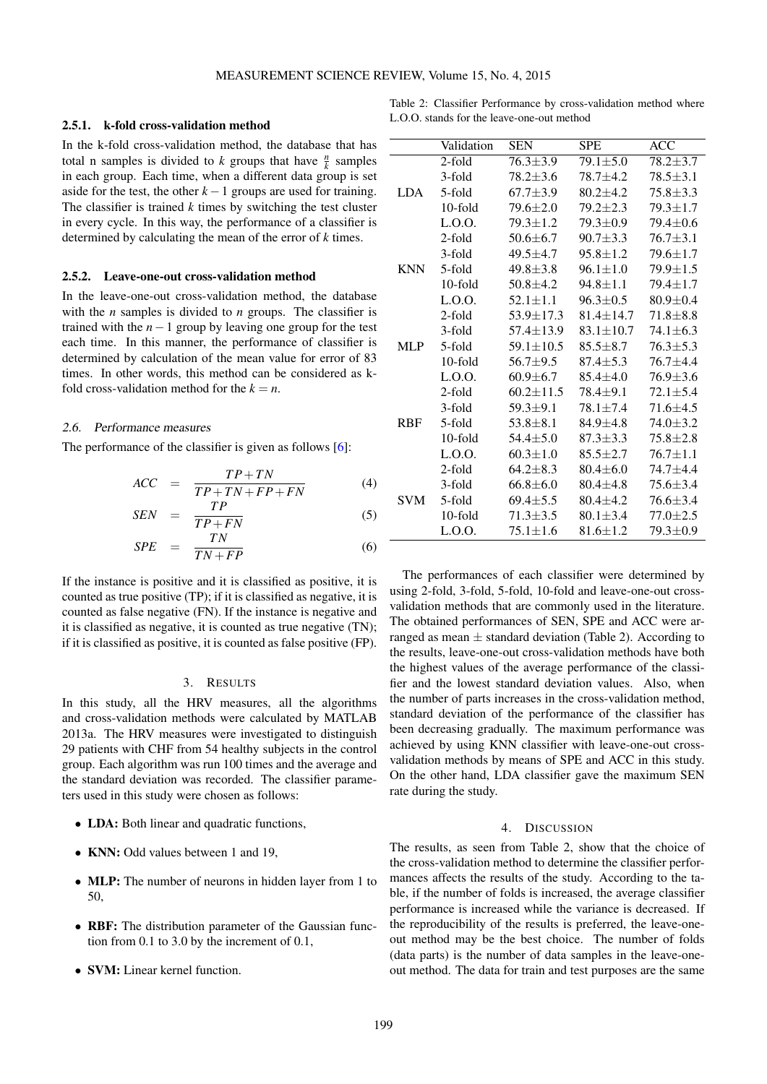### 2.5.1. k-fold cross-validation method

In the k-fold cross-validation method, the database that has total n samples is divided to *k* groups that have  $\frac{n}{k}$  samples in each group. Each time, when a different data group is set aside for the test, the other  $k-1$  groups are used for training. The classifier is trained  $k$  times by switching the test cluster in every cycle. In this way, the performance of a classifier is determined by calculating the mean of the error of *k* times.

## 2.5.2. Leave-one-out cross-validation method

In the leave-one-out cross-validation method, the database with the *n* samples is divided to *n* groups. The classifier is trained with the *n−*1 group by leaving one group for the test each time. In this manner, the performance of classifier is determined by calculation of the mean value for error of 83 times. In other words, this method can be considered as kfold cross-validation method for the  $k = n$ .

## 2.6. Performance measures

The performance of the classifier is given as follows [6]:

$$
ACC = \frac{TP + TN}{TP + TN + FP + FN} \tag{4}
$$

$$
SEN = \frac{TP}{TP + FN} \tag{5}
$$

$$
SPE = \frac{TN}{TN + FP} \tag{6}
$$

If the instance is positive and it is classified as positive, it is counted as true positive (TP); if it is classified as negative, it is counted as false negative (FN). If the instance is negative and it is classified as negative, it is counted as true negative (TN); if it is classified as positive, it is counted as false positive (FP).

# 3. RESULTS

In this study, all the HRV measures, all the algorithms and cross-validation methods were calculated by MATLAB 2013a. The HRV measures were investigated to distinguish 29 patients with CHF from 54 healthy subjects in the control group. Each algorithm was run 100 times and the average and the standard deviation was recorded. The classifier parameters used in this study were chosen as follows:

- *•* LDA: Both linear and quadratic functions,
- **KNN:** Odd values between 1 and 19,
- **MLP:** The number of neurons in hidden layer from 1 to 50,
- *•* RBF: The distribution parameter of the Gaussian function from 0.1 to 3.0 by the increment of 0.1,
- **SVM:** Linear kernel function.

Table 2: Classifier Performance by cross-validation method where L.O.O. stands for the leave-one-out method

|            | Validation | <b>SEN</b>      | <b>SPE</b>      | <b>ACC</b>     |
|------------|------------|-----------------|-----------------|----------------|
| <b>LDA</b> | $2$ -fold  | $76.3 + 3.9$    | $79.1 + 5.0$    | $78.2 \pm 3.7$ |
|            | 3-fold     | $78.2 + 3.6$    | $78.7 + 4.2$    | $78.5 + 3.1$   |
|            | 5-fold     | $67.7 + 3.9$    | $80.2 + 4.2$    | 75.8±3.3       |
|            | $10$ -fold | 79.6±2.0        | $79.2 + 2.3$    | $79.3 \pm 1.7$ |
|            | L.0.0.     | $79.3 \pm 1.2$  | 79.3±0.9        | $79.4 \pm 0.6$ |
| <b>KNN</b> | 2-fold     | $50.6 + 6.7$    | $90.7 \pm 3.3$  | $76.7 + 3.1$   |
|            | 3-fold     | $49.5 + 4.7$    | $95.8 + 1.2$    | $79.6 \pm 1.7$ |
|            | 5-fold     | $49.8 + 3.8$    | $96.1 \pm 1.0$  | $79.9 \pm 1.5$ |
|            | $10$ -fold | $50.8 + 4.2$    | $94.8 \pm 1.1$  | $79.4 \pm 1.7$ |
|            | L.0.0.     | $52.1 \pm 1.1$  | $96.3 \pm 0.5$  | $80.9 \pm 0.4$ |
| <b>MLP</b> | $2$ -fold  | 53.9±17.3       | $81.4 + 14.7$   | $71.8 + 8.8$   |
|            | 3-fold     | 57.4±13.9       | $83.1 \pm 10.7$ | $74.1 \pm 6.3$ |
|            | 5-fold     | $59.1 \pm 10.5$ | $85.5 + 8.7$    | $76.3 + 5.3$   |
|            | $10$ -fold | $56.7 + 9.5$    | $87.4 \pm 5.3$  | $76.7 + 4.4$   |
|            | L.0.0.     | $60.9 \pm 6.7$  | $85.4 + 4.0$    | $76.9 \pm 3.6$ |
| <b>RBF</b> | $2$ -fold  | $60.2 + 11.5$   | $78.4 + 9.1$    | $72.1 \pm 5.4$ |
|            | 3-fold     | $59.3 + 9.1$    | $78.1 + 7.4$    | $71.6 \pm 4.5$ |
|            | 5-fold     | $53.8 + 8.1$    | $84.9 + 4.8$    | $74.0 \pm 3.2$ |
|            | $10$ -fold | $54.4 \pm 5.0$  | $87.3 \pm 3.3$  | $75.8 + 2.8$   |
|            | L.O.O.     | $60.3 \pm 1.0$  | $85.5 \pm 2.7$  | $76.7 \pm 1.1$ |
| <b>SVM</b> | $2$ -fold  | $64.2 + 8.3$    | $80.4 \pm 6.0$  | $74.7 + 4.4$   |
|            | 3-fold     | $66.8 \pm 6.0$  | $80.4 \pm 4.8$  | $75.6 \pm 3.4$ |
|            | 5-fold     | $69.4 + 5.5$    | $80.4 + 4.2$    | $76.6 \pm 3.4$ |
|            | $10$ -fold | $71.3 \pm 3.5$  | $80.1 \pm 3.4$  | $77.0 \pm 2.5$ |
|            | L.O.O.     | $75.1 \pm 1.6$  | $81.6 \pm 1.2$  | 79.3±0.9       |

The performances of each classifier were determined by using 2-fold, 3-fold, 5-fold, 10-fold and leave-one-out crossvalidation methods that are commonly used in the literature. The obtained performances of SEN, SPE and ACC were arranged as mean  $\pm$  standard deviation (Table 2). According to the results, leave-one-out cross-validation methods have both the highest values of the average performance of the classifier and the lowest standard deviation values. Also, when the number of parts increases in the cross-validation method, standard deviation of the performance of the classifier has been decreasing gradually. The maximum performance was achieved by using KNN classifier with leave-one-out crossvalidation methods by means of SPE and ACC in this study. On the other hand, LDA classifier gave the maximum SEN rate during the study.

#### 4. DISCUSSION

The results, as seen from Table 2, show that the choice of the cross-validation method to determine the classifier performances affects the results of the study. According to the table, if the number of folds is increased, the average classifier performance is increased while the variance is decreased. If the reproducibility of the results is preferred, the leave-oneout method may be the best choice. The number of folds (data parts) is the number of data samples in the leave-oneout method. The data for train and test purposes are the same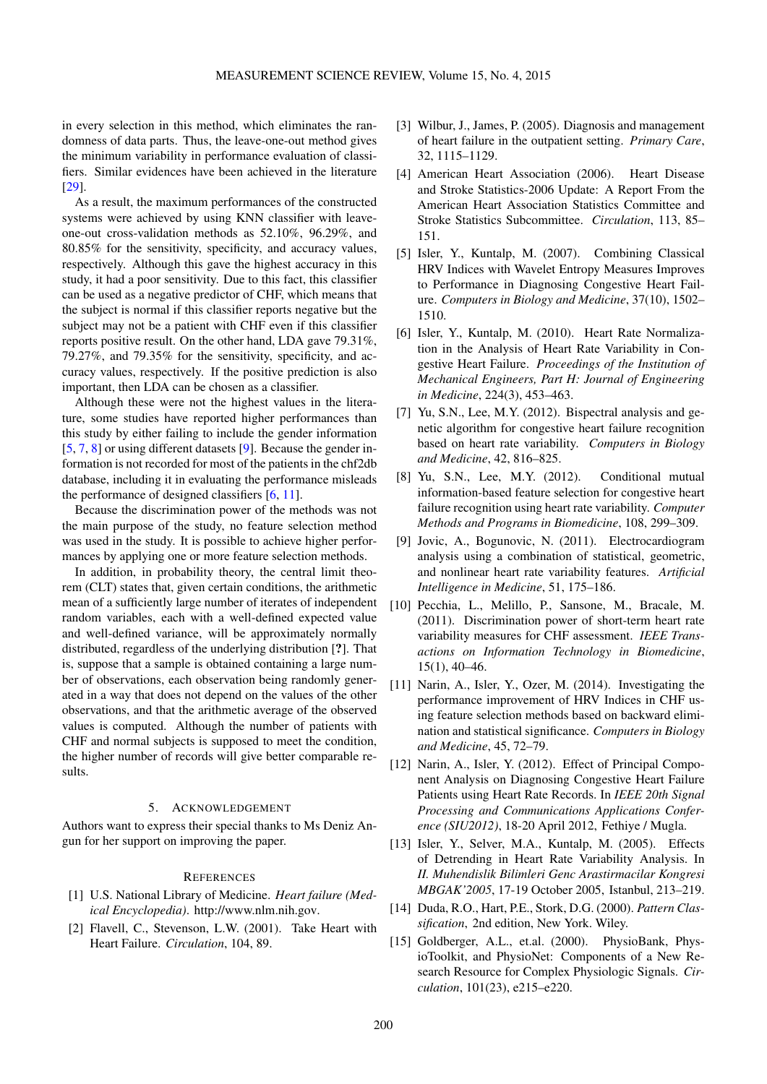in every selection in this method, which eliminates the randomness of data parts. Thus, the leave-one-out method gives the minimum variability in performance evaluation of classifiers. Similar evidences have been achieved in the literature [29].

As a result, the maximum performances of the constructed systems were achieved by using KNN classifier with leaveone-out cross-validation methods as 52.10%, 96.29%, and 80.85% for the sensitivity, specificity, and accuracy values, respectively. Although this gave the highest accuracy in this study, it had a poor sensitivity. Due to this fact, this classifier can be used as a negative predictor of CHF, which means that the subject is normal if this classifier reports negative but the subject may not be a patient with CHF even if this classifier reports positive result. On the other hand, LDA gave 79.31%, 79.27%, and 79.35% for the sensitivity, specificity, and accuracy values, respectively. If the positive prediction is also important, then LDA can be chosen as a classifier.

Although these were not the highest values in the literature, some studies have reported higher performances than this study by either failing to include the gender information [5, 7, 8] or using different datasets [9]. Because the gender information is not recorded for most of the patients in the chf2db database, including it in evaluating the performance misleads the performance of designed classifiers [6, 11].

Because the discrimination power of the methods was not the main purpose of the study, no feature selection method was used in the study. It is possible to achieve higher performances by applying one or more feature selection methods.

In addition, in probability theory, the central limit theorem (CLT) states that, given certain conditions, the arithmetic mean of a sufficiently large number of iterates of independent random variables, each with a well-defined expected value and well-defined variance, will be approximately normally distributed, regardless of the underlying distribution [?]. That is, suppose that a sample is obtained containing a large number of observations, each observation being randomly generated in a way that does not depend on the values of the other observations, and that the arithmetic average of the observed values is computed. Although the number of patients with CHF and normal subjects is supposed to meet the condition, the higher number of records will give better comparable results.

#### 5. ACKNOWLEDGEMENT

Authors want to express their special thanks to Ms Deniz Angun for her support on improving the paper.

#### **REFERENCES**

- [1] U.S. National Library of Medicine. *Heart failure (Medical Encyclopedia)*. http://www.nlm.nih.gov.
- [2] Flavell, C., Stevenson, L.W. (2001). Take Heart with Heart Failure. *Circulation*, 104, 89.
- [3] Wilbur, J., James, P. (2005). Diagnosis and management of heart failure in the outpatient setting. *Primary Care*, 32, 1115–1129.
- [4] American Heart Association (2006). Heart Disease and Stroke Statistics-2006 Update: A Report From the American Heart Association Statistics Committee and Stroke Statistics Subcommittee. *Circulation*, 113, 85– 151.
- [5] Isler, Y., Kuntalp, M. (2007). Combining Classical HRV Indices with Wavelet Entropy Measures Improves to Performance in Diagnosing Congestive Heart Failure. *Computers in Biology and Medicine*, 37(10), 1502– 1510.
- [6] Isler, Y., Kuntalp, M. (2010). Heart Rate Normalization in the Analysis of Heart Rate Variability in Congestive Heart Failure. *Proceedings of the Institution of Mechanical Engineers, Part H: Journal of Engineering in Medicine*, 224(3), 453–463.
- [7] Yu, S.N., Lee, M.Y. (2012). Bispectral analysis and genetic algorithm for congestive heart failure recognition based on heart rate variability. *Computers in Biology and Medicine*, 42, 816–825.
- [8] Yu, S.N., Lee, M.Y. (2012). Conditional mutual information-based feature selection for congestive heart failure recognition using heart rate variability. *Computer Methods and Programs in Biomedicine*, 108, 299–309.
- [9] Jovic, A., Bogunovic, N. (2011). Electrocardiogram analysis using a combination of statistical, geometric, and nonlinear heart rate variability features. *Artificial Intelligence in Medicine*, 51, 175–186.
- [10] Pecchia, L., Melillo, P., Sansone, M., Bracale, M. (2011). Discrimination power of short-term heart rate variability measures for CHF assessment. *IEEE Transactions on Information Technology in Biomedicine*, 15(1), 40–46.
- [11] Narin, A., Isler, Y., Ozer, M. (2014). Investigating the performance improvement of HRV Indices in CHF using feature selection methods based on backward elimination and statistical significance. *Computers in Biology and Medicine*, 45, 72–79.
- [12] Narin, A., Isler, Y. (2012). Effect of Principal Component Analysis on Diagnosing Congestive Heart Failure Patients using Heart Rate Records. In *IEEE 20th Signal Processing and Communications Applications Conference (SIU2012)*, 18-20 April 2012, Fethiye / Mugla.
- [13] Isler, Y., Selver, M.A., Kuntalp, M. (2005). Effects of Detrending in Heart Rate Variability Analysis. In *II. Muhendislik Bilimleri Genc Arastirmacilar Kongresi MBGAK'2005*, 17-19 October 2005, Istanbul, 213–219.
- [14] Duda, R.O., Hart, P.E., Stork, D.G. (2000). *Pattern Classification*, 2nd edition, New York. Wiley.
- [15] Goldberger, A.L., et.al. (2000). PhysioBank, PhysioToolkit, and PhysioNet: Components of a New Research Resource for Complex Physiologic Signals. *Circulation*, 101(23), e215–e220.